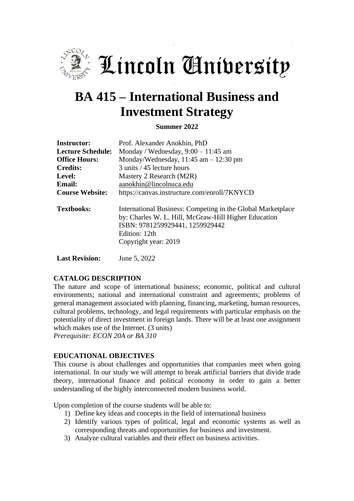

Lincoln Aniversity

# **BA 415 – International Business and Investment Strategy**

**Summer 2022**

| <b>Instructor:</b>       | Prof. Alexander Anokhin, PhD                                                                                                                                                                    |
|--------------------------|-------------------------------------------------------------------------------------------------------------------------------------------------------------------------------------------------|
| <b>Lecture Schedule:</b> | Monday / Wednesday, $9:00 - 11:45$ am                                                                                                                                                           |
| <b>Office Hours:</b>     | Monday/Wednesday, $11:45$ am $-12:30$ pm                                                                                                                                                        |
| <b>Credits:</b>          | 3 units / 45 lecture hours                                                                                                                                                                      |
| Level:                   | Mastery 2 Research (M2R)                                                                                                                                                                        |
| <b>Email:</b>            | aanokhin@lincolnuca.edu                                                                                                                                                                         |
| <b>Course Website:</b>   | https://canvas.instructure.com/enroll/7KNYCD                                                                                                                                                    |
| <b>Textbooks:</b>        | International Business: Competing in the Global Marketplace<br>by: Charles W. L. Hill, McGraw-Hill Higher Education<br>ISBN: 9781259929441, 1259929442<br>Edition: 12th<br>Copyright year: 2019 |

**Last Revision:** June 5, 2022

#### **CATALOG DESCRIPTION**

The nature and scope of international business; economic, political and cultural environments; national and international constraint and agreements; problems of general management associated with planning, financing, marketing, human resources, cultural problems, technology, and legal requirements with particular emphasis on the potentiality of direct investment in foreign lands. There will be at least one assignment which makes use of the Internet. (3 units) *Prerequisite: ECON 20A or BA 310*

#### **EDUCATIONAL OBJECTIVES**

This course is about challenges and opportunities that companies meet when going international. In our study we will attempt to break artificial barriers that divide trade theory, international finance and political economy in order to gain a better understanding of the highly interconnected modern business world.

Upon completion of the course students will be able to:

- 1) Define key ideas and concepts in the field of international business
- 2) Identify various types of political, legal and economic systems as well as corresponding threats and opportunities for business and investment.
- 3) Analyze cultural variables and their effect on business activities.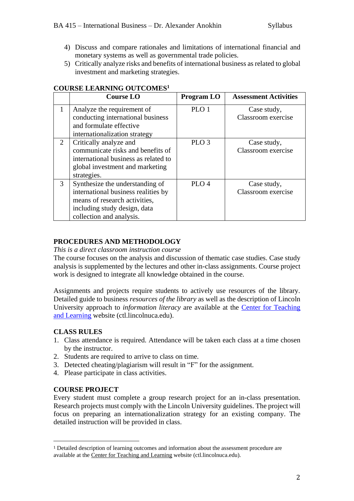- 4) Discuss and compare rationales and limitations of international financial and monetary systems as well as governmental trade policies.
- 5) Critically analyze risks and benefits of international business as related to global investment and marketing strategies.

|   | <b>Course LO</b>                                                                                                                                                    | <b>Program LO</b> | <b>Assessment Activities</b>      |
|---|---------------------------------------------------------------------------------------------------------------------------------------------------------------------|-------------------|-----------------------------------|
| 1 | Analyze the requirement of<br>conducting international business<br>and formulate effective<br>internationalization strategy                                         | PLO <sub>1</sub>  | Case study,<br>Classroom exercise |
| 2 | Critically analyze and<br>communicate risks and benefits of<br>international business as related to<br>global investment and marketing<br>strategies.               | PLO <sub>3</sub>  | Case study,<br>Classroom exercise |
| 3 | Synthesize the understanding of<br>international business realities by<br>means of research activities,<br>including study design, data<br>collection and analysis. | PLO <sub>4</sub>  | Case study,<br>Classroom exercise |

#### **COURSE LEARNING OUTCOMES<sup>1</sup>**

#### **PROCEDURES AND METHODOLOGY**

*This is a direct classroom instruction course*

The course focuses on the analysis and discussion of thematic case studies. Case study analysis is supplemented by the lectures and other in-class assignments. Course project work is designed to integrate all knowledge obtained in the course.

Assignments and projects require students to actively use resources of the library. Detailed guide to business *resources of the library* as well as the description of Lincoln University approach to *information literacy* are available at the [Center for Teaching](http://ctl.lincolnuca.edu/kb-base/library-guide-business-resources/)  [and Learning](http://ctl.lincolnuca.edu/kb-base/library-guide-business-resources/) website (ctl.lincolnuca.edu).

#### **CLASS RULES**

- 1. Class attendance is required. Attendance will be taken each class at a time chosen by the instructor.
- 2. Students are required to arrive to class on time.
- 3. Detected cheating/plagiarism will result in "F" for the assignment.
- 4. Please participate in class activities.

#### **COURSE PROJECT**

Every student must complete a group research project for an in-class presentation. Research projects must comply with the Lincoln University guidelines. The project will focus on preparing an internationalization strategy for an existing company. The detailed instruction will be provided in class.

<sup>1</sup> Detailed description of learning outcomes and information about the assessment procedure are available at the Center for [Teaching](http://ctl.lincolnuca.edu/) and Learning website (ctl.lincolnuca.edu).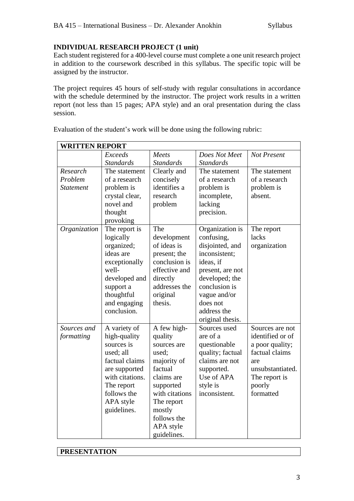## **INDIVIDUAL RESEARCH PROJECT (1 unit)**

Each student registered for a 400-level course must complete a one unit research project in addition to the coursework described in this syllabus. The specific topic will be assigned by the instructor.

The project requires 45 hours of self-study with regular consultations in accordance with the schedule determined by the instructor. The project work results in a written report (not less than 15 pages; APA style) and an oral presentation during the class session.

| <b>WRITTEN REPORT</b> |                  |                  |                  |                    |
|-----------------------|------------------|------------------|------------------|--------------------|
|                       | Exceeds          | Meets            | Does Not Meet    | <b>Not Present</b> |
|                       | <b>Standards</b> | <b>Standards</b> | <b>Standards</b> |                    |
| Research              | The statement    | Clearly and      | The statement    | The statement      |
| Problem               | of a research    | concisely        | of a research    | of a research      |
| <b>Statement</b>      | problem is       | identifies a     | problem is       | problem is         |
|                       | crystal clear,   | research         | incomplete,      | absent.            |
|                       | novel and        | problem          | lacking          |                    |
|                       | thought          |                  | precision.       |                    |
|                       | provoking        |                  |                  |                    |
| Organization          | The report is    | The              | Organization is  | The report         |
|                       | logically        | development      | confusing,       | lacks              |
|                       | organized;       | of ideas is      | disjointed, and  | organization       |
|                       | ideas are        | present; the     | inconsistent;    |                    |
|                       | exceptionally    | conclusion is    | ideas, if        |                    |
|                       | well-            | effective and    | present, are not |                    |
|                       | developed and    | directly         | developed; the   |                    |
|                       | support a        | addresses the    | conclusion is    |                    |
|                       | thoughtful       | original         | vague and/or     |                    |
|                       | and engaging     | thesis.          | does not         |                    |
|                       | conclusion.      |                  | address the      |                    |
|                       |                  |                  | original thesis. |                    |
| Sources and           | A variety of     | A few high-      | Sources used     | Sources are not    |
| formatting            | high-quality     | quality          | are of a         | identified or of   |
|                       | sources is       | sources are      | questionable     | a poor quality;    |
|                       | used; all        | used;            | quality; factual | factual claims     |
|                       | factual claims   | majority of      | claims are not   | are                |
|                       | are supported    | factual          | supported.       | unsubstantiated.   |
|                       | with citations.  | claims are       | Use of APA       | The report is      |
|                       | The report       | supported        | style is         | poorly             |
|                       | follows the      | with citations   | inconsistent.    | formatted          |
|                       | APA style        | The report       |                  |                    |
|                       | guidelines.      | mostly           |                  |                    |
|                       |                  | follows the      |                  |                    |
|                       |                  | APA style        |                  |                    |
|                       |                  | guidelines.      |                  |                    |

Evaluation of the student's work will be done using the following rubric:

**PRESENTATION**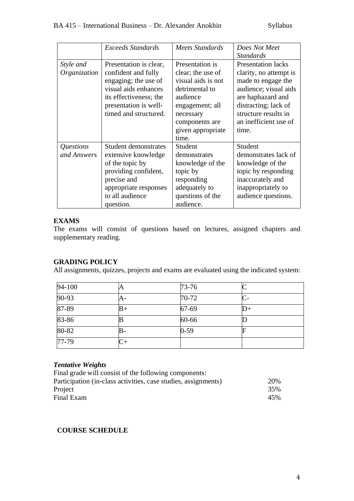|              | <b>Exceeds Standards</b> | <b>Meets Standards</b> | Does Not Meet             |
|--------------|--------------------------|------------------------|---------------------------|
|              |                          |                        | <b>Standards</b>          |
| Style and    | Presentation is clear,   | Presentation is        | <b>Presentation lacks</b> |
| Organization | confident and fully      | clear; the use of      | clarity, no attempt is    |
|              | engaging; the use of     | visual aids is not     | made to engage the        |
|              | visual aids enhances     | detrimental to         | audience; visual aids     |
|              | its effectiveness; the   | audience               | are haphazard and         |
|              | presentation is well-    | engagement; all        | distracting; lack of      |
|              | timed and structured.    | necessary              | structure results in      |
|              |                          | components are         | an inefficient use of     |
|              |                          | given appropriate      | time.                     |
|              |                          | time.                  |                           |
| Questions    | Student demonstrates     | Student                | Student                   |
| and Answers  | extensive knowledge      | demonstrates           | demonstrates lack of      |
|              | of the topic by          | knowledge of the       | knowledge of the          |
|              | providing confident,     | topic by               | topic by responding       |
|              | precise and              | responding             | inaccurately and          |
|              | appropriate responses    | adequately to          | inappropriately to        |
|              | to all audience          | questions of the       | audience questions.       |
|              | question.                | audience.              |                           |

# **EXAMS**

The exams will consist of questions based on lectures, assigned chapters and supplementary reading.

## **GRADING POLICY**

All assignments, quizzes, projects and exams are evaluated using the indicated system:

| 94-100    | A           | $73 - 76$ |  |
|-----------|-------------|-----------|--|
| $90 - 93$ | A-          | $70-72$   |  |
| 87-89     | $_{\rm B+}$ | 67-69     |  |
| 83-86     |             | 60-66     |  |
| $80 - 82$ | B-          | $0 - 59$  |  |
| $77-79$   |             |           |  |

# *Tentative Weights*

| 20% |
|-----|
| 35% |
| 45% |
|     |

#### **COURSE SCHEDULE**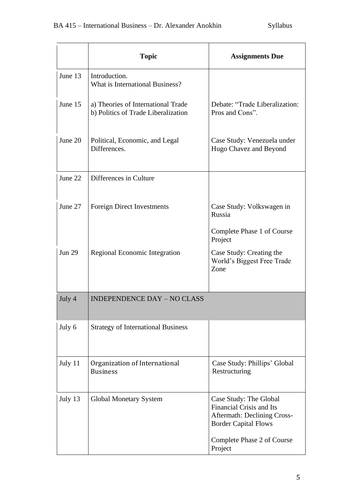|               | <b>Topic</b>                                                              | <b>Assignments Due</b>                                                                                                  |
|---------------|---------------------------------------------------------------------------|-------------------------------------------------------------------------------------------------------------------------|
| June 13       | Introduction.<br>What is International Business?                          |                                                                                                                         |
| June 15       | a) Theories of International Trade<br>b) Politics of Trade Liberalization | Debate: "Trade Liberalization:<br>Pros and Cons".                                                                       |
| June 20       | Political, Economic, and Legal<br>Differences.                            | Case Study: Venezuela under<br>Hugo Chavez and Beyond                                                                   |
| June 22       | Differences in Culture                                                    |                                                                                                                         |
| June 27       | <b>Foreign Direct Investments</b>                                         | Case Study: Volkswagen in<br>Russia                                                                                     |
|               |                                                                           | Complete Phase 1 of Course<br>Project                                                                                   |
| <b>Jun 29</b> | Regional Economic Integration                                             | Case Study: Creating the<br>World's Biggest Free Trade<br>Zone                                                          |
| July 4        | <b>INDEPENDENCE DAY - NO CLASS</b>                                        |                                                                                                                         |
| July 6        | <b>Strategy of International Business</b>                                 |                                                                                                                         |
| July 11       | Organization of International<br><b>Business</b>                          | Case Study: Phillips' Global<br>Restructuring                                                                           |
| July 13       | Global Monetary System                                                    | Case Study: The Global<br>Financial Crisis and Its<br><b>Aftermath: Declining Cross-</b><br><b>Border Capital Flows</b> |
|               |                                                                           | Complete Phase 2 of Course<br>Project                                                                                   |